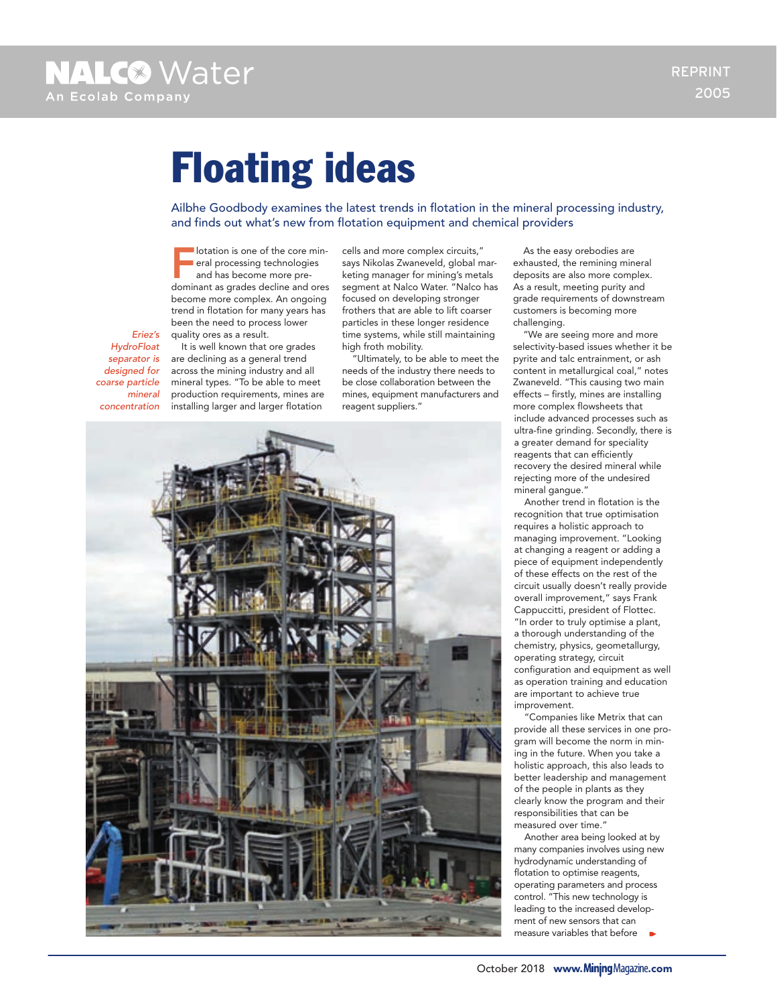# Floating ideas

Ailbhe Goodbody examines the latest trends in flotation in the mineral processing industry, and finds out what's new from flotation equipment and chemical providers

**Flotation is one of the core min-**<br>Figure and processing technologies<br>and has become more pre-<br>deminant as grades decline and area eral processing technologies and has become more predominant as grades decline and ores become more complex. An ongoing trend in flotation for many years has been the need to process lower quality ores as a result.

**ALCO** VVd

*Eriez's HydroFloat separator is designed for coarse particle mineral concentration*

It is well known that ore grades are declining as a general trend across the mining industry and all mineral types. "To be able to meet production requirements, mines are installing larger and larger flotation

cells and more complex circuits," says Nikolas Zwaneveld, global marketing manager for mining's metals segment at Nalco Water. "Nalco has focused on developing stronger frothers that are able to lift coarser particles in these longer residence time systems, while still maintaining high froth mobility.

"Ultimately, to be able to meet the needs of the industry there needs to be close collaboration between the mines, equipment manufacturers and reagent suppliers."



As the easy orebodies are exhausted, the remining mineral deposits are also more complex. As a result, meeting purity and grade requirements of downstream customers is becoming more challenging.

"We are seeing more and more selectivity-based issues whether it be pyrite and talc entrainment, or ash content in metallurgical coal," notes Zwaneveld. "This causing two main effects – firstly, mines are installing more complex flowsheets that include advanced processes such as ultra-fine grinding. Secondly, there is a greater demand for speciality reagents that can efficiently recovery the desired mineral while rejecting more of the undesired mineral gangue."

Another trend in flotation is the recognition that true optimisation requires a holistic approach to managing improvement. "Looking at changing a reagent or adding a piece of equipment independently of these effects on the rest of the circuit usually doesn't really provide overall improvement," says Frank Cappuccitti, president of Flottec. "In order to truly optimise a plant, a thorough understanding of the chemistry, physics, geometallurgy, operating strategy, circuit configuration and equipment as well as operation training and education are important to achieve true improvement.

"Companies like Metrix that can provide all these services in one program will become the norm in mining in the future. When you take a holistic approach, this also leads to better leadership and management of the people in plants as they clearly know the program and their responsibilities that can be measured over time."

Another area being looked at by many companies involves using new hydrodynamic understanding of flotation to optimise reagents, operating parameters and process control. "This new technology is leading to the increased development of new sensors that can measure variables that before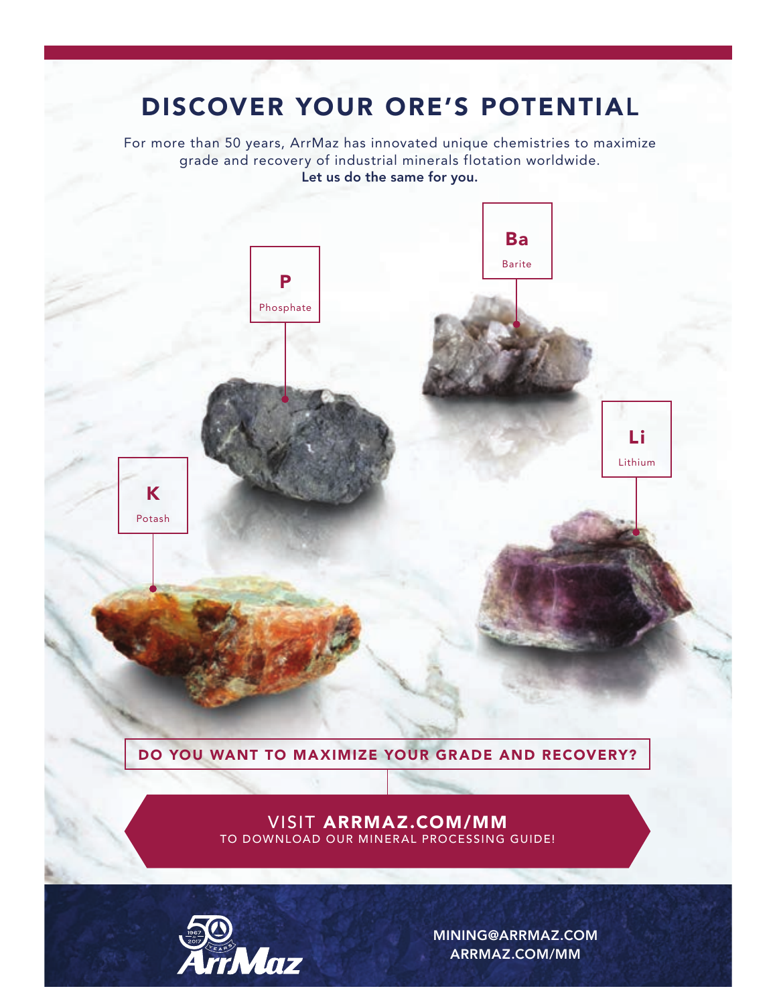# DISCOVER YOUR ORE'S POTENTIAL

For more than 50 years, ArrMaz has innovated unique chemistries to maximize grade and recovery of industrial minerals flotation worldwide. Let us do the same for you.



**Maz** 

MINING@ARRMAZ.COM ARRMAZ.COM/MM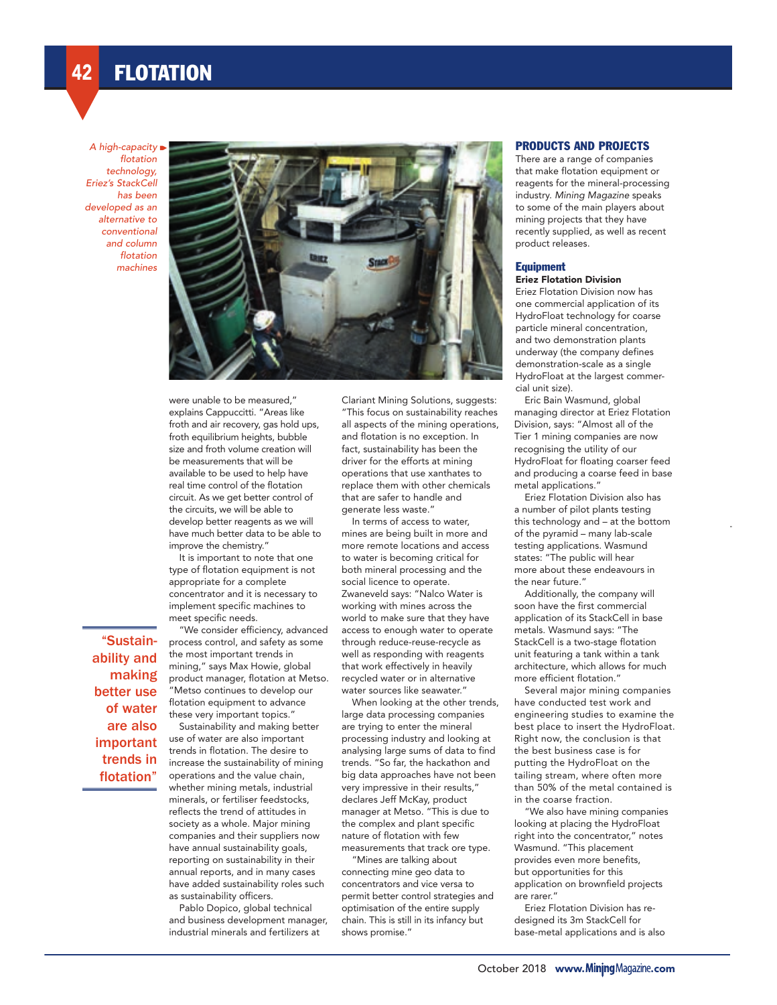*A high-capacity flotation technology, Eriez's StackCell has been developed as an alternative to conventional and column flotation machines*



were unable to be measured," explains Cappuccitti. "Areas like froth and air recovery, gas hold ups, froth equilibrium heights, bubble size and froth volume creation will be measurements that will be available to be used to help have real time control of the flotation circuit. As we get better control of the circuits, we will be able to develop better reagents as we will have much better data to be able to improve the chemistry."

It is important to note that one type of flotation equipment is not appropriate for a complete concentrator and it is necessary to implement specific machines to meet specific needs.

"We consider efficiency, advanced process control, and safety as some the most important trends in mining," says Max Howie, global product manager, flotation at Metso. "Metso continues to develop our flotation equipment to advance these very important topics."

Sustainability and making better use of water are also important trends in flotation. The desire to increase the sustainability of mining operations and the value chain, whether mining metals, industrial minerals, or fertiliser feedstocks, reflects the trend of attitudes in society as a whole. Major mining companies and their suppliers now have annual sustainability goals, reporting on sustainability in their annual reports, and in many cases have added sustainability roles such as sustainability officers.

Pablo Dopico, global technical and business development manager, industrial minerals and fertilizers at

Clariant Mining Solutions, suggests: "This focus on sustainability reaches all aspects of the mining operations, and flotation is no exception. In fact, sustainability has been the driver for the efforts at mining operations that use xanthates to replace them with other chemicals that are safer to handle and generate less waste."

In terms of access to water mines are being built in more and more remote locations and access to water is becoming critical for both mineral processing and the social licence to operate. Zwaneveld says: "Nalco Water is working with mines across the world to make sure that they have access to enough water to operate through reduce-reuse-recycle as well as responding with reagents that work effectively in heavily recycled water or in alternative water sources like seawater."

When looking at the other trends, large data processing companies are trying to enter the mineral processing industry and looking at analysing large sums of data to find trends. "So far, the hackathon and big data approaches have not been very impressive in their results," declares Jeff McKay, product manager at Metso. "This is due to the complex and plant specific nature of flotation with few measurements that track ore type.

"Mines are talking about connecting mine geo data to concentrators and vice versa to permit better control strategies and optimisation of the entire supply chain. This is still in its infancy but shows promise."

#### PRODUCTS AND PROJECTS

There are a range of companies that make flotation equipment or reagents for the mineral-processing industry. *Mining Magazine* speaks to some of the main players about mining projects that they have recently supplied, as well as recent product releases.

#### Equipment Eriez Flotation Division

Eriez Flotation Division now has one commercial application of its HydroFloat technology for coarse particle mineral concentration, and two demonstration plants underway (the company defines demonstration-scale as a single HydroFloat at the largest commercial unit size).

Eric Bain Wasmund, global managing director at Eriez Flotation Division, says: "Almost all of the Tier 1 mining companies are now recognising the utility of our HydroFloat for floating coarser feed and producing a coarse feed in base metal applications."

Eriez Flotation Division also has a number of pilot plants testing this technology and – at the bottom of the pyramid – many lab-scale testing applications. Wasmund states: "The public will hear more about these endeavours in the near future."

Additionally, the company will soon have the first commercial application of its StackCell in base metals. Wasmund says: "The StackCell is a two-stage flotation unit featuring a tank within a tank architecture, which allows for much more efficient flotation."

Several major mining companies have conducted test work and engineering studies to examine the best place to insert the HydroFloat. Right now, the conclusion is that the best business case is for putting the HydroFloat on the tailing stream, where often more than 50% of the metal contained is in the coarse fraction.

"We also have mining companies looking at placing the HydroFloat right into the concentrator," notes Wasmund. "This placement provides even more benefits, but opportunities for this application on brownfield projects are rarer."

Eriez Flotation Division has redesigned its 3m StackCell for base-metal applications and is also

ability and making better use of water are also important trends in flotation"

"Sustain-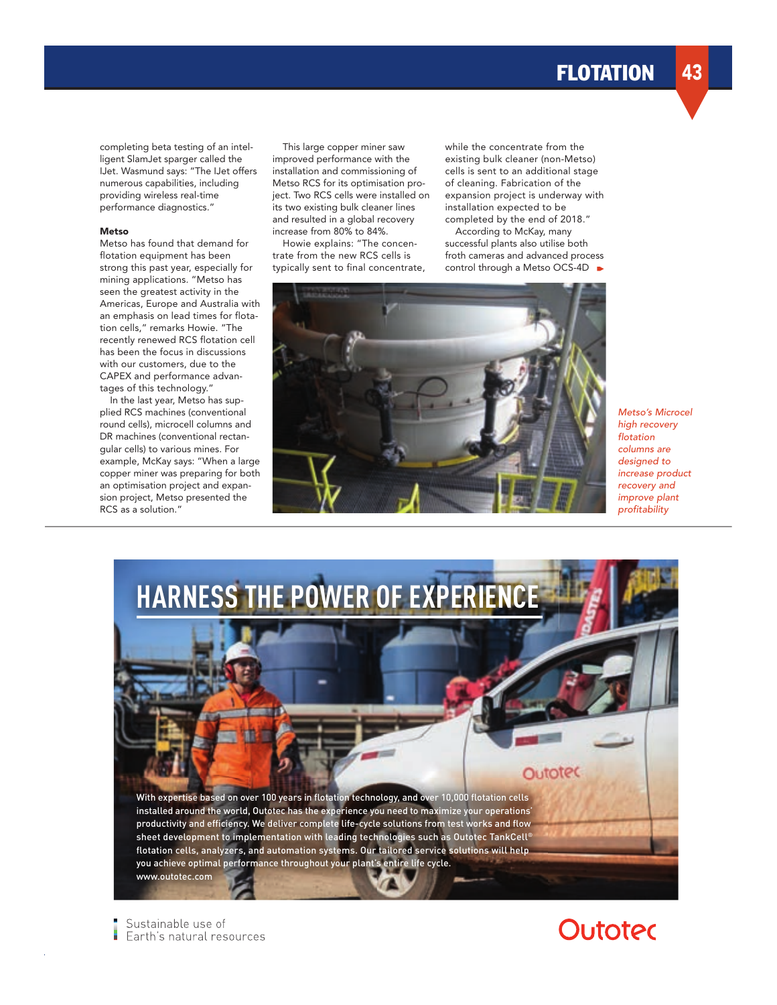### FLOTATION 43

completing beta testing of an intelligent SlamJet sparger called the IJet. Wasmund says: "The IJet offers numerous capabilities, including providing wireless real-time performance diagnostics."

#### Metso

Metso has found that demand for flotation equipment has been strong this past year, especially for mining applications. "Metso has seen the greatest activity in the Americas, Europe and Australia with an emphasis on lead times for flotation cells," remarks Howie. "The recently renewed RCS flotation cell has been the focus in discussions with our customers, due to the CAPEX and performance advantages of this technology."

In the last year, Metso has supplied RCS machines (conventional round cells), microcell columns and DR machines (conventional rectangular cells) to various mines. For example, McKay says: "When a large copper miner was preparing for both an optimisation project and expansion project, Metso presented the RCS as a solution."

This large copper miner saw improved performance with the installation and commissioning of Metso RCS for its optimisation project. Two RCS cells were installed on its two existing bulk cleaner lines and resulted in a global recovery increase from 80% to 84%.

Howie explains: "The concentrate from the new RCS cells is typically sent to final concentrate,

while the concentrate from the existing bulk cleaner (non-Metso) cells is sent to an additional stage of cleaning. Fabrication of the expansion project is underway with installation expected to be completed by the end of 2018."

According to McKay, many successful plants also utilise both froth cameras and advanced process control through a Metso OCS-4D



*Metso's Microcel high recovery flotation columns are designed to increase product recovery and improve plant profitability*



Sustainable use of Earth's natural resources

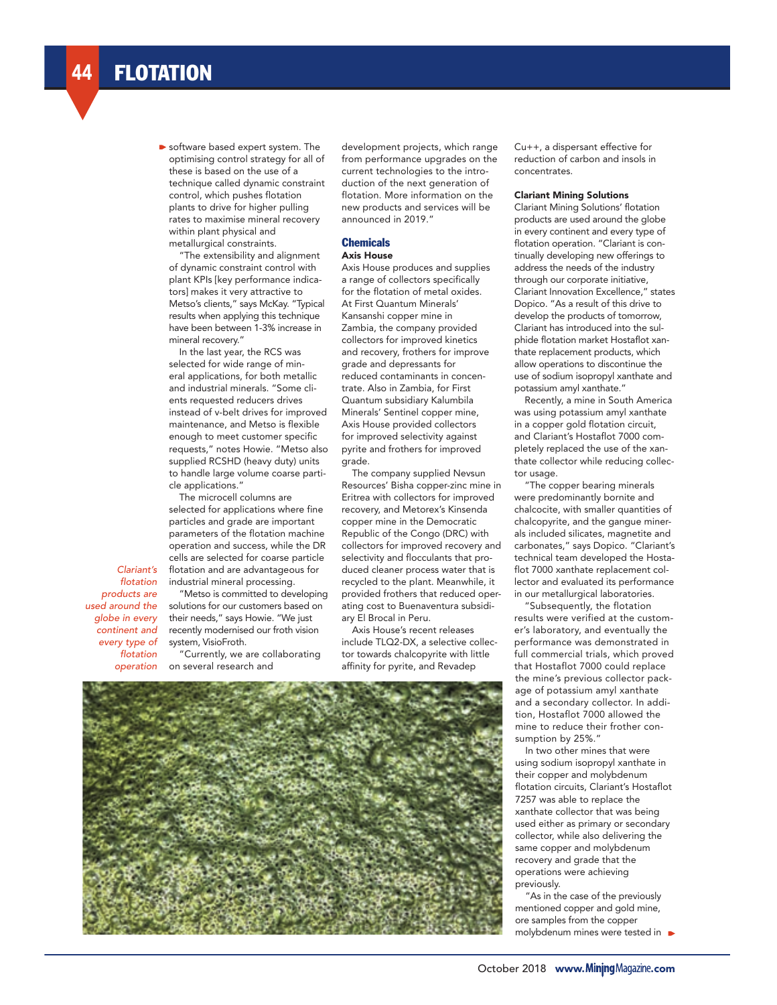*Clariant's flotation products are used around the globe in every continent and every type of* 

software based expert system. The optimising control strategy for all of these is based on the use of a technique called dynamic constraint control, which pushes flotation plants to drive for higher pulling rates to maximise mineral recovery within plant physical and metallurgical constraints.

"The extensibility and alignment of dynamic constraint control with plant KPIs [key performance indicators] makes it very attractive to Metso's clients," says McKay. "Typical results when applying this technique have been between 1-3% increase in mineral recovery."

In the last year, the RCS was selected for wide range of mineral applications, for both metallic and industrial minerals. "Some clients requested reducers drives instead of v-belt drives for improved maintenance, and Metso is flexible enough to meet customer specific requests," notes Howie. "Metso also supplied RCSHD (heavy duty) units to handle large volume coarse particle applications."

The microcell columns are selected for applications where fine particles and grade are important parameters of the flotation machine operation and success, while the DR cells are selected for coarse particle flotation and are advantageous for industrial mineral processing.

"Metso is committed to developing solutions for our customers based on their needs," says Howie. "We just recently modernised our froth vision system, VisioFroth.

"Currently, we are collaborating on several research and *flotation operation*

development projects, which range from performance upgrades on the current technologies to the introduction of the next generation of flotation. More information on the new products and services will be announced in 2019."

#### **Chemicals**

#### Axis House

Axis House produces and supplies a range of collectors specifically for the flotation of metal oxides. At First Quantum Minerals' Kansanshi copper mine in Zambia, the company provided collectors for improved kinetics and recovery, frothers for improve grade and depressants for reduced contaminants in concentrate. Also in Zambia, for First Quantum subsidiary Kalumbila Minerals' Sentinel copper mine, Axis House provided collectors for improved selectivity against pyrite and frothers for improved grade.

The company supplied Nevsun Resources' Bisha copper-zinc mine in Eritrea with collectors for improved recovery, and Metorex's Kinsenda copper mine in the Democratic Republic of the Congo (DRC) with collectors for improved recovery and selectivity and flocculants that produced cleaner process water that is recycled to the plant. Meanwhile, it provided frothers that reduced operating cost to Buenaventura subsidiary El Brocal in Peru.

Axis House's recent releases include TLQ2-DX, a selective collector towards chalcopyrite with little affinity for pyrite, and Revadep



Cu++, a dispersant effective for reduction of carbon and insols in concentrates.

#### Clariant Mining Solutions

Clariant Mining Solutions' flotation products are used around the globe in every continent and every type of flotation operation. "Clariant is continually developing new offerings to address the needs of the industry through our corporate initiative, Clariant Innovation Excellence," states Dopico. "As a result of this drive to develop the products of tomorrow, Clariant has introduced into the sulphide flotation market Hostaflot xanthate replacement products, which allow operations to discontinue the use of sodium isopropyl xanthate and potassium amyl xanthate."

Recently, a mine in South America was using potassium amyl xanthate in a copper gold flotation circuit, and Clariant's Hostaflot 7000 completely replaced the use of the xanthate collector while reducing collector usage.

"The copper bearing minerals were predominantly bornite and chalcocite, with smaller quantities of chalcopyrite, and the gangue minerals included silicates, magnetite and carbonates," says Dopico. "Clariant's technical team developed the Hostaflot 7000 xanthate replacement collector and evaluated its performance in our metallurgical laboratories.

"Subsequently, the flotation results were verified at the customer's laboratory, and eventually the performance was demonstrated in full commercial trials, which proved that Hostaflot 7000 could replace the mine's previous collector package of potassium amyl xanthate and a secondary collector. In addition, Hostaflot 7000 allowed the mine to reduce their frother consumption by 25%."

In two other mines that were using sodium isopropyl xanthate in their copper and molybdenum flotation circuits, Clariant's Hostaflot 7257 was able to replace the xanthate collector that was being used either as primary or secondary collector, while also delivering the same copper and molybdenum recovery and grade that the operations were achieving previously.

"As in the case of the previously mentioned copper and gold mine, ore samples from the copper molybdenum mines were tested in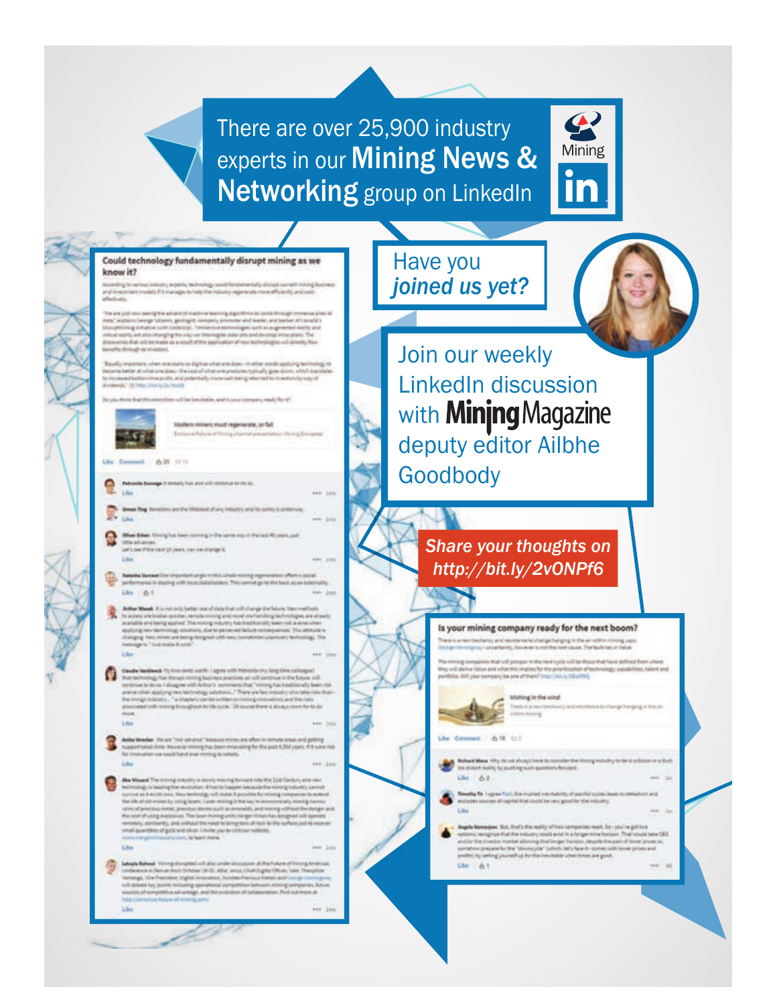There are over 25,900 industry experts in our Mining News & Networking group on LinkedIn

Have you

*joined us yet?*



#### Could technology fundamentally disrupt mining as we know it?

.<br>In vertices institutity enjectio, taxhostingly small fundamentally distingt connect mixing.<br>mem medalis if it manages to help the robustry regions atta more efficiently and some ing to se

is are just now coverage to a school of reactives bearing algorithme to cover thinguit immerse plus<br>on," material manage to send contrast, company processes and season, and beare it is under the season of the<br>contrasting i who shough as investors.

spectants, where once stands to aligitize what area about - its other words applicing bestrain<br>the ait whetevers plans - the said affortations produces typically gives down, which trac<br>allocations line profits, and primeri als," (Schmac University University

line out) be low chattle, and is joint company ready for all



Modern miners must regimerate, or fall Entiment Policie in Mining channel presentation

Determent 635 1211

- age it crowds has any sill continue to do as
- is any the Shipsoud of any industry and his
- **Cher Hoogha Secret** iq) Files Filenet (Fiscan cares drage it.
	-
- manua in dealing with book challendalers. This cannot go to the back as an a Like Light
- As<br>the Mood. It is not only better was of data that solid sharp the future, the creation<br>is to access or bodyn quicket. Another more party and are funding belowing<br>to an access of the paper of the more products of the con Indicate is 1 but make it wish
- be leadered. Hy ford contact wat to Lagran with Public Ω that had moving that the cast more place was practices at rad spectrum at the future will<br>continue to do no 1 disappen with Anthor's continuous that "mining has mailinnium); been related<br>annotation applying new hastenings
	-
	- **Monday**. Yet any "risk advanta" because weren pro after in remote swan and getting.<br>In taken from Mondial moving has been mouvement to be paid 6,200 juans. All seles was<br>invalidn on small front avec moving to relate.  $4 - 100$
- **lle Wassel** The money industry is don't a month for east into the 23st Carlory and new<br>achieving is basiling the resolution. Which is happen because the intensignments in the complete<br>and in the state money was televising of proclaus noted, precides shores tools at procedule, and money without the or of Jung extremes. The laser money only hanger than the day<br>by, sensently, and without the need to bring two of rock to the<br>downthist of guid and show I molte plu for sixting network. a set made to the se Asiatori, la lagist mare
- $+100$ in fictioner (IP-S), what were Cheft lights (Minn, lake, TX<br>I lights invention, Suivine Pressure (IMM) and longer tion, light

 $0.165$ 

Join our weekly LinkedIn discussion with **Minjng** Magazine deputy editor Ailbhe Goodbody

### *Share your thoughts on http://bit.ly/2vONPf6*



startive Values and what this implies for the provincable of technology, car<br>htld pear sempany be one of them? Important, tuttliching



Constant A.M. cc 3

chand Mass 10 ty 25 years the statest reality by analying main questions fleroard. Like F-6.2

.<br>Hy Te Tages Pol. the implied ine third by of paintifugulactic<br>designment suphistical could be very good to the industry.

Angele Konseiger: 200, Marty the maility of how comparing most. So - year in get two<br>common mangings that the reducery could push in a harge-clime factorier. That is<br>sold later OEO conseils and a filter reducery could pus Like At 1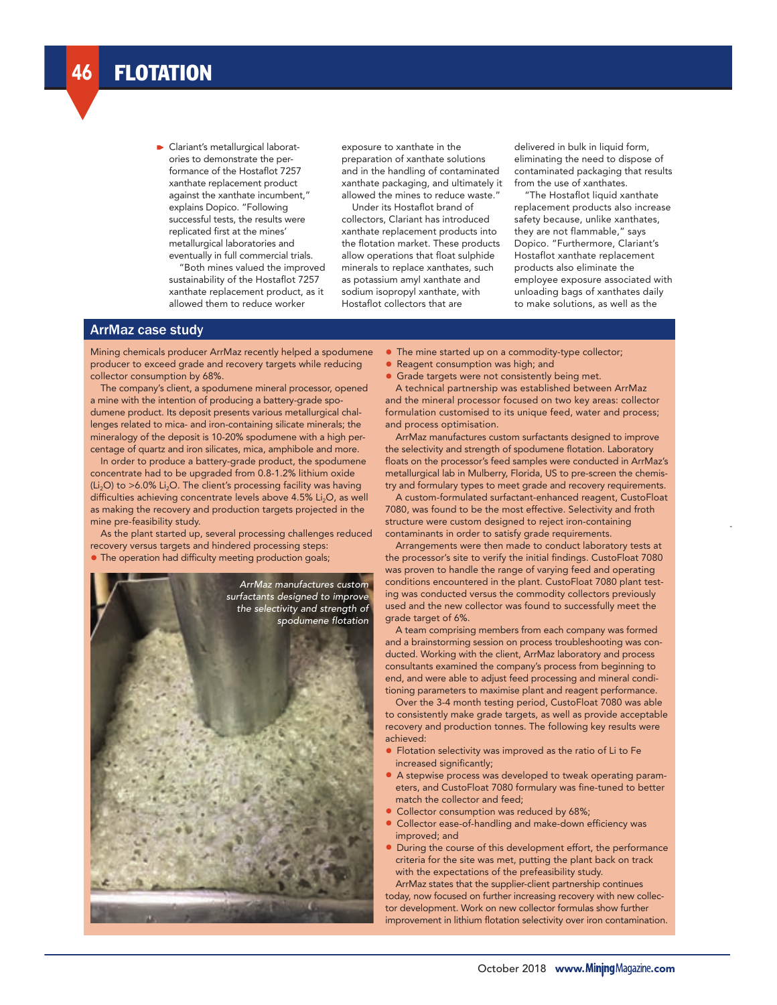Clariant's metallurgical laboratories to demonstrate the performance of the Hostaflot 7257 xanthate replacement product against the xanthate incumbent," explains Dopico. "Following successful tests, the results were replicated first at the mines' metallurgical laboratories and eventually in full commercial trials.

"Both mines valued the improved sustainability of the Hostaflot 7257 xanthate replacement product, as it allowed them to reduce worker

exposure to xanthate in the preparation of xanthate solutions and in the handling of contaminated xanthate packaging, and ultimately it allowed the mines to reduce waste."

Under its Hostaflot brand of collectors, Clariant has introduced xanthate replacement products into the flotation market. These products allow operations that float sulphide minerals to replace xanthates, such as potassium amyl xanthate and sodium isopropyl xanthate, with Hostaflot collectors that are

delivered in bulk in liquid form, eliminating the need to dispose of contaminated packaging that results from the use of xanthates.

"The Hostaflot liquid xanthate replacement products also increase safety because, unlike xanthates, they are not flammable," says Dopico. "Furthermore, Clariant's Hostaflot xanthate replacement products also eliminate the employee exposure associated with unloading bags of xanthates daily to make solutions, as well as the

#### ArrMaz case study

Mining chemicals producer ArrMaz recently helped a spodumene producer to exceed grade and recovery targets while reducing collector consumption by 68%.

The company's client, a spodumene mineral processor, opened a mine with the intention of producing a battery-grade spodumene product. Its deposit presents various metallurgical challenges related to mica- and iron-containing silicate minerals; the mineralogy of the deposit is 10-20% spodumene with a high percentage of quartz and iron silicates, mica, amphibole and more.

In order to produce a battery-grade product, the spodumene concentrate had to be upgraded from 0.8-1.2% lithium oxide ( $Li<sub>2</sub>O$ ) to >6.0% Li<sub>2</sub>O. The client's processing facility was having difficulties achieving concentrate levels above  $4.5\%$  Li<sub>2</sub>O, as well as making the recovery and production targets projected in the mine pre-feasibility study.

As the plant started up, several processing challenges reduced recovery versus targets and hindered processing steps:

• The operation had difficulty meeting production goals;



- The mine started up on a commodity-type collector;
- Reagent consumption was high; and
- Grade targets were not consistently being met.

A technical partnership was established between ArrMaz and the mineral processor focused on two key areas: collector formulation customised to its unique feed, water and process; and process optimisation.

ArrMaz manufactures custom surfactants designed to improve the selectivity and strength of spodumene flotation. Laboratory floats on the processor's feed samples were conducted in ArrMaz's metallurgical lab in Mulberry, Florida, US to pre-screen the chemistry and formulary types to meet grade and recovery requirements.

A custom-formulated surfactant-enhanced reagent, CustoFloat 7080, was found to be the most effective. Selectivity and froth structure were custom designed to reject iron-containing contaminants in order to satisfy grade requirements.

Arrangements were then made to conduct laboratory tests at the processor's site to verify the initial findings. CustoFloat 7080 was proven to handle the range of varying feed and operating conditions encountered in the plant. CustoFloat 7080 plant testing was conducted versus the commodity collectors previously used and the new collector was found to successfully meet the grade target of 6%.

A team comprising members from each company was formed and a brainstorming session on process troubleshooting was conducted. Working with the client, ArrMaz laboratory and process consultants examined the company's process from beginning to end, and were able to adjust feed processing and mineral conditioning parameters to maximise plant and reagent performance.

Over the 3-4 month testing period, CustoFloat 7080 was able to consistently make grade targets, as well as provide acceptable recovery and production tonnes. The following key results were achieved:

- Flotation selectivity was improved as the ratio of Li to Fe increased significantly;
- A stepwise process was developed to tweak operating parameters, and CustoFloat 7080 formulary was fine-tuned to better match the collector and feed;
- Collector consumption was reduced by 68%;
- Collector ease-of-handling and make-down efficiency was improved; and
- During the course of this development effort, the performance criteria for the site was met, putting the plant back on track with the expectations of the prefeasibility study.

ArrMaz states that the supplier-client partnership continues today, now focused on further increasing recovery with new collector development. Work on new collector formulas show further improvement in lithium flotation selectivity over iron contamination.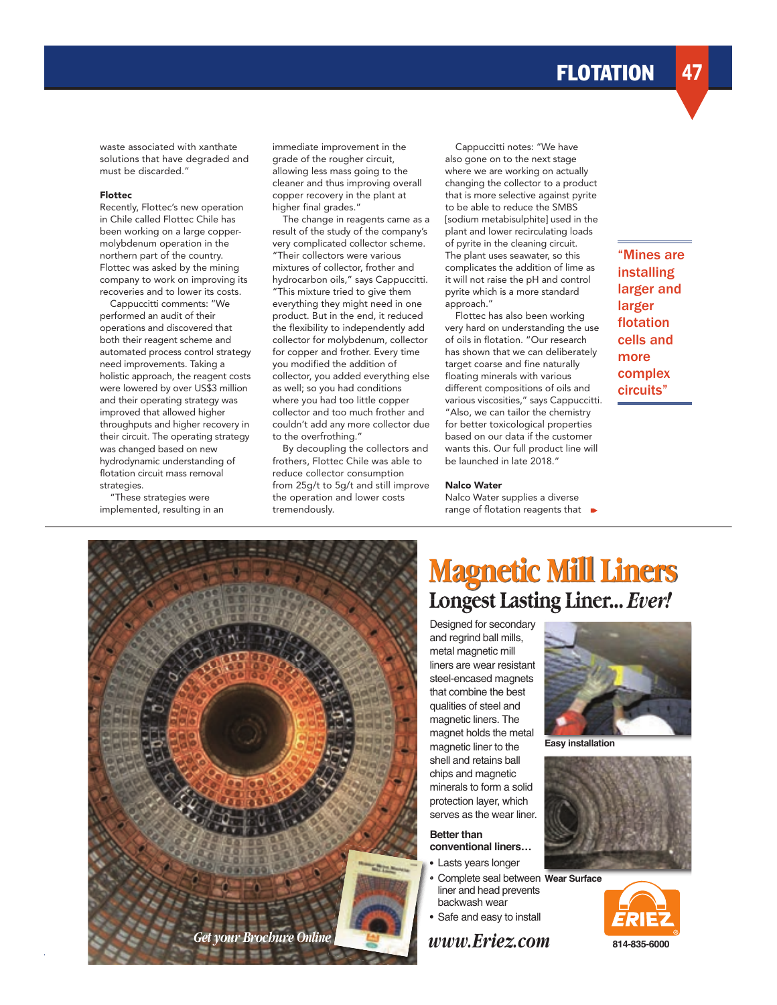FLOTATION 47

waste associated with xanthate solutions that have degraded and must be discarded."

#### Flottec

Recently, Flottec's new operation in Chile called Flottec Chile has been working on a large coppermolybdenum operation in the northern part of the country. Flottec was asked by the mining company to work on improving its recoveries and to lower its costs.

Cappuccitti comments: "We performed an audit of their operations and discovered that both their reagent scheme and automated process control strategy need improvements. Taking a holistic approach, the reagent costs were lowered by over US\$3 million and their operating strategy was improved that allowed higher throughputs and higher recovery in their circuit. The operating strategy was changed based on new hydrodynamic understanding of flotation circuit mass removal strategies.

implemented, resulting in an am 11.18 between "These strategies were

immediate improvement in the grade of the rougher circuit, allowing less mass going to the cleaner and thus improving overall copper recovery in the plant at higher final grades."

The change in reagents came as a result of the study of the company's very complicated collector scheme. "Their collectors were various mixtures of collector, frother and hydrocarbon oils," says Cappuccitti. "This mixture tried to give them everything they might need in one product. But in the end, it reduced the flexibility to independently add collector for molybdenum, collector for copper and frother. Every time you modified the addition of collector, you added everything else as well; so you had conditions where you had too little copper collector and too much frother and couldn't add any more collector due to the overfrothing."

By decoupling the collectors and frothers, Flottec Chile was able to reduce collector consumption from 25g/t to 5g/t and still improve the operation and lower costs tremendously.

Cappuccitti notes: "We have also gone on to the next stage where we are working on actually changing the collector to a product that is more selective against pyrite to be able to reduce the SMBS [sodium metabisulphite] used in the plant and lower recirculating loads of pyrite in the cleaning circuit. The plant uses seawater, so this complicates the addition of lime as it will not raise the pH and control pyrite which is a more standard approach."

Flottec has also been working very hard on understanding the use of oils in flotation. "Our research has shown that we can deliberately target coarse and fine naturally floating minerals with various different compositions of oils and various viscosities," says Cappuccitti. "Also, we can tailor the chemistry for better toxicological properties based on our data if the customer wants this. Our full product line will be launched in late 2018."

#### Nalco Water

Nalco Water supplies a diverse range of flotation reagents that  $\quad \blacktriangleright$ 





## **Longest Lasting Liner...** *Ever!* **Magnetic Mill Liners**

Designed for secondary and regrind ball mills, metal magnetic mill liners are wear resistant steel-encased magnets that combine the best qualities of steel and magnetic liners. The magnet holds the metal magnetic liner to the shell and retains ball chips and magnetic minerals to form a solid protection layer, which serves as the wear liner.

#### **Better than conventional liners…**

• Lasts years longer

**• Complete seal between Wear Surface**  liner and head prevents backwash wear

Safe and easy to install



**Easy installation**



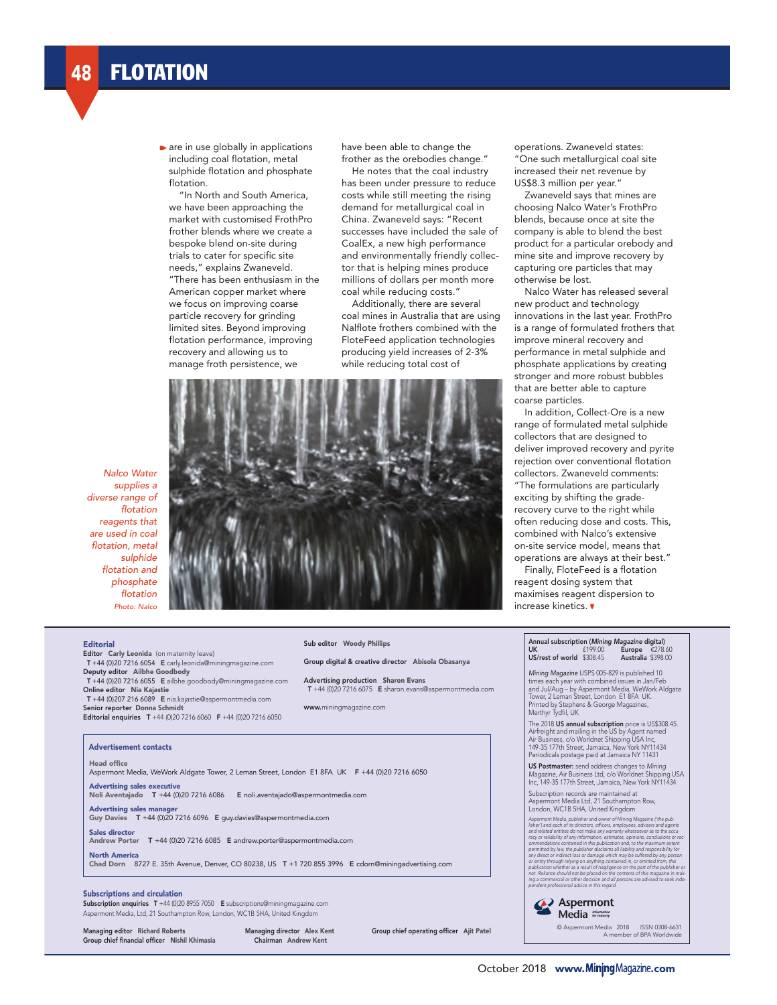are in use globally in applications including coal flotation, metal sulphide flotation and phosphate flotation.

we have been approaching the market with customised FrothPro frother blends where we create a bespoke blend on-site during "There has been enthusiasm in the manage froth persistence, we

have been able to change the frother as the orebodies change."

He notes that the coal industry has been under pressure to reduce costs while still meeting the rising demand for metallurgical coal in China. Zwaneveld says: "Recent successes have included the sale of CoalEx, a new high performance and environmentally friendly collector that is helping mines produce millions of dollars per month more coal while reducing costs."

Additionally, there are several coal mines in Australia that are using Nalflote frothers combined with the FloteFeed application technologies producing yield increases of 2-3% while reducing total cost of

In North and South America,

trials to cater for specific site needs," explains Zwaneveld. American copper market where we focus on improving coarse particle recovery for grinding limited sites. Beyond improving flotation performance, improving recovery and allowing us to

Sub editor Woody Phillips

operations. Zwaneveld states: "One such metallurgical coal site increased their net revenue by US\$8.3 million per year."

Zwaneveld says that mines are choosing Nalco Water's FrothPro blends, because once at site the company is able to blend the best product for a particular orebody and mine site and improve recovery by capturing ore particles that may otherwise be lost.

Nalco Water has released several new product and technology innovations in the last year. FrothPro is a range of formulated frothers that improve mineral recovery and performance in metal sulphide and phosphate applications by creating stronger and more robust bubbles that are better able to capture coarse particles.

In addition, Collect-Ore is a new range of formulated metal sulphide collectors that are designed to deliver improved recovery and pyrite rejection over conventional flotation collectors. Zwaneveld comments: "The formulations are particularly exciting by shifting the graderecovery curve to the right while often reducing dose and costs. This, combined with Nalco's extensive on-site service model, means that operations are always at their best."

reagent dosing system that maximises reagent dispersion to increase kinetics.  $\blacktriangledown$ 

Annual subscription (*Mining Magazine* digital) UK £199.00 Europe €278.60 Aimaal subscription (*mining magazine* digital)<br>UK f199.00 Europe €278.60<br>US/rest of world \$308.45 Australia \$398.00

*Mining Magazine* USPS 005-829 is published 10 times each year with combined issues in Jan/Feb and Jul/Aug – by Aspermont Media, WeWork Aldgate<br>Tower, 2 Leman Street, London E1 8FA UK.<br>Printed by Stephens & George Magazines,<br>Merthyr Tydfil, UK

The 2018 US annual subscription price is US\$308.45. Airfreight and mailing in the US by Agent named Air Business, c/o Worldnet Shipping USA Inc, 149-35 177th Street, Jamaica, New York NY11434 Periodicals postage paid at Jamaica NY 11431

US Postmaster: send address changes to *Mining Magazine*, Air Business Ltd, c/o Worldnet Shipping USA Inc, 149-35 177th Street, Jamaica, New York NY11434

Subscription records are maintained at Aspermont Media Ltd, 21 Southampton Row, London, WC1B 5HA, United Kingdom

Assemmont Media, publisher and owner of Mining Magazine ("the pub-<br>Ishelf and each of its directors, officers, employees, advisers and agents<br>and related entities do not make any warranty whatsoever as to the accu-<br>rango c

**Aspermont**<br>Media *New Media* © Aspermont Media 2018 ISSN 0308-6631 A member of BPA Worldwide

*Nalco Water supplies a diverse range of flotation reagents that are used in coal flotation, metal sulphide flotation and phosphate flotation Photo: Nalco*

#### **Editorial**

Advertisement contacts Head office Aspermont Media, WeWork Aldgate Tower, 2 Leman Street, London E1 8FA UK F +44 (0)20 7216 6050 Advertising sales executive Noli Aventajado T +44 (0)20 7216 6086 E noli.aventajado@aspermontmedia.com Advertising sales manager Guy Davies T +44 (0)20 7216 6096 E guy.davies@aspermontmedia.com Sales director Andrew Porter T +44 (0)20 7216 6085 E andrew.porter@aspermontmedia.com North America Chad Dorn 8727 E. 35th Avenue, Denver, CO 80238, US T +1 720 855 3996 E cdorn@miningadvertising.com Editor Carly Leonida (on maternity leave) T +44 (0)20 7216 6054 E carly.leonida@miningmagazine.com Deputy editor Ailbhe Goodbody T +44 (0)20 7216 6055 E ailbhe.goodbody@miningmagazine.com Online editor Nia Kajastie T +44 (0)207 216 6089 E nia.kajastie@aspermontmedia.com Senior reporter Donna Schmidt Editorial enquiries T +44 (0)20 7216 6060 F +44 (0)20 7216 6050 Group digital & creative director Abisola Obasanya Advertising production Sharon Evans T +44 (0)20 7216 6075 E sharon.evans@aspermontmedia.com www.miningmagazine.com Subscriptions and circulation Subscription enquiries T +44 (0)20 8955 7050 E subscriptions@miningmagazine.com Aspermont Media, Ltd, 21 Southampton Row, London, WC1B 5HA, United Kingdom

Managing editor Richard Roberts Managing director Alex Kent Group chief operating officer Ajit Patel<br>Group chief financial officer Nishil Khimasia Chairman Andrew Kent Group chief financial officer Nishil Khimasia

Finally, FloteFeed is a flotation